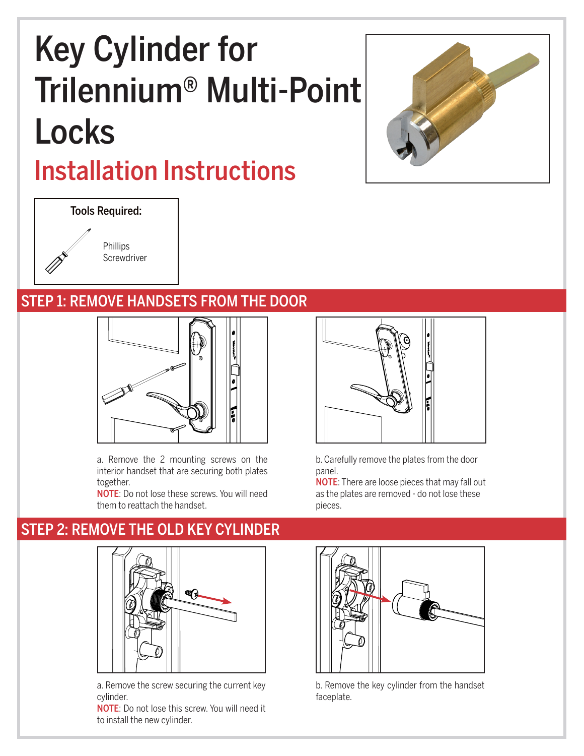# Key Cylinder for Trilennium∏ Multi-Point Locks



# Installation Instructions



### STEP 1: REMOVE HANDSETS FROM THE DOOR



a. Remove the 2 mounting screws on the interior handset that are securing both plates together.

NOTE: Do not lose these screws. You will need them to reattach the handset.



b. Carefully remove the plates from the door panel.

NOTE: There are loose pieces that may fall out as the plates are removed - do not lose these pieces.

#### STEP 2: REMOVE THE OLD KEY CYLINDER



a. Remove the screw securing the current key cylinder.

NOTE: Do not lose this screw. You will need it to install the new cylinder.



b. Remove the key cylinder from the handset faceplate.